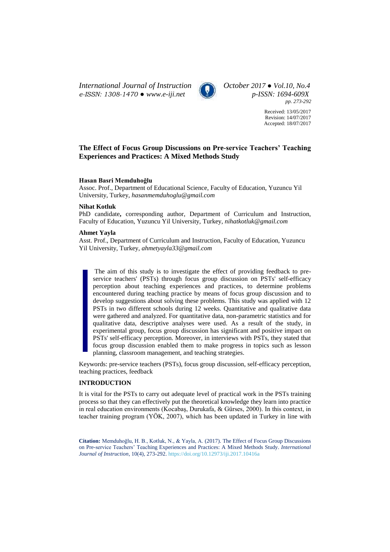*International Journal of Instruction October 2017 ● Vol.10, No.4 e-ISSN: 1308-1470 ● [www.e-iji.net](http://www.e-iji.net/) p-ISSN: 1694-609X*



*pp. 273-292*

Received: 13/05/2017 Revision: 14/07/2017 Accepted: 18/07/2017

# **The Effect of Focus Group Discussions on Pre-service Teachers' Teaching Experiences and Practices: A Mixed Methods Study**

## **Hasan Basri Memduhoğlu**

Assoc. Prof., Department of Educational Science, Faculty of Education, Yuzuncu Yil University, Turkey, *hasanmemduhoglu@gmail.com*

## **Nihat Kotluk**

PhD candidate**,** corresponding author, Department of Curriculum and Instruction, Faculty of Education, Yuzuncu Yil University, Turkey, *nihatkotluk@gmail.com*

# **Ahmet Yayla**

Asst. Prof., Department of Curriculum and Instruction, Faculty of Education, Yuzuncu Yil University, Turkey, *ahmetyayla33@gmail.com*

The aim of this study is to investigate the effect of providing feedback to preservice teachers' (PSTs) through focus group discussion on PSTs' self-efficacy perception about teaching experiences and practices, to determine problems encountered during teaching practice by means of focus group discussion and to develop suggestions about solving these problems. This study was applied with 12 PSTs in two different schools during 12 weeks. Quantitative and qualitative data were gathered and analyzed. For quantitative data, non-parametric statistics and for qualitative data, descriptive analyses were used. As a result of the study, in experimental group, focus group discussion has significant and positive impact on PSTs' self-efficacy perception. Moreover, in interviews with PSTs, they stated that focus group discussion enabled them to make progress in topics such as lesson planning, classroom management, and teaching strategies.

Keywords: pre-service teachers (PSTs), focus group discussion, self-efficacy perception, teaching practices, feedback

# **INTRODUCTION**

It is vital for the PSTs to carry out adequate level of practical work in the PSTs training process so that they can effectively put the theoretical knowledge they learn into practice in real education environments (Kocabaş, Durukafa, & Gürses, 2000). In this context, in teacher training program (YÖK, 2007), which has been updated in Turkey in line with

**Citation:** Memduhoğlu, H. B., Kotluk, N., & Yayla, A. (2017). The Effect of Focus Group Discussions on Pre-service Teachers' Teaching Experiences and Practices: A Mixed Methods Study. *International Journal of Instruction*, 10(4), 273-292. <https://doi.org/10.12973/iji.2017.10416a>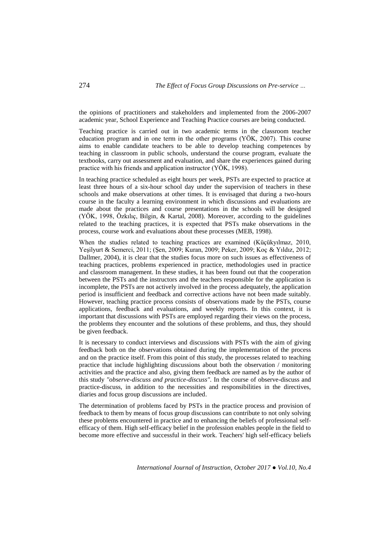the opinions of practitioners and stakeholders and implemented from the 2006-2007 academic year, School Experience and Teaching Practice courses are being conducted.

Teaching practice is carried out in two academic terms in the classroom teacher education program and in one term in the other programs (YÖK, 2007). This course aims to enable candidate teachers to be able to develop teaching competences by teaching in classroom in public schools, understand the course program, evaluate the textbooks, carry out assessment and evaluation, and share the experiences gained during practice with his friends and application instructor (YÖK, 1998).

In teaching practice scheduled as eight hours per week, PSTs are expected to practice at least three hours of a six-hour school day under the supervision of teachers in these schools and make observations at other times. It is envisaged that during a two-hours course in the faculty a learning environment in which discussions and evaluations are made about the practices and course presentations in the schools will be designed (YÖK, 1998, Özkılıç, Bilgin, & Kartal, 2008). Moreover, according to the guidelines related to the teaching practices, it is expected that PSTs make observations in the process, course work and evaluations about these processes (MEB, 1998).

When the studies related to teaching practices are examined (Küçükyılmaz, 2010, Yeşilyurt & Semerci, 2011; (Şen, 2009; Kuran, 2009; Peker, 2009; Koç & Yıldız, 2012; Dallmer, 2004), it is clear that the studies focus more on such issues as effectiveness of teaching practices, problems experienced in practice, methodologies used in practice and classroom management. In these studies, it has been found out that the cooperation between the PSTs and the instructors and the teachers responsible for the application is incomplete, the PSTs are not actively involved in the process adequately, the application period is insufficient and feedback and corrective actions have not been made suitably. However, teaching practice process consists of observations made by the PSTs, course applications, feedback and evaluations, and weekly reports. In this context, it is important that discussions with PSTs are employed regarding their views on the process, the problems they encounter and the solutions of these problems, and thus, they should be given feedback.

It is necessary to conduct interviews and discussions with PSTs with the aim of giving feedback both on the observations obtained during the implementation of the process and on the practice itself. From this point of this study, the processes related to teaching practice that include highlighting discussions about both the observation / monitoring activities and the practice and also, giving them feedback are named as by the author of this study *"observe-discuss and practice-discuss".* In the course of observe-discuss and practice-discuss, in addition to the necessities and responsibilities in the directives, diaries and focus group discussions are included.

The determination of problems faced by PSTs in the practice process and provision of feedback to them by means of focus group discussions can contribute to not only solving these problems encountered in practice and to enhancing the beliefs of professional selfefficacy of them. High self-efficacy belief in the profession enables people in the field to become more effective and successful in their work. Teachers' high self-efficacy beliefs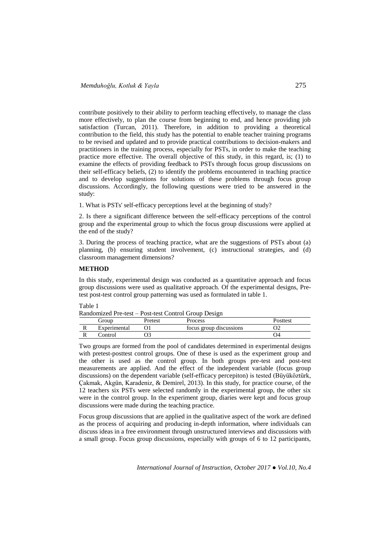contribute positively to their ability to perform teaching effectively, to manage the class more effectively, to plan the course from beginning to end, and hence providing job satisfaction (Turcan, 2011). Therefore, in addition to providing a theoretical contribution to the field, this study has the potential to enable teacher training programs to be revised and updated and to provide practical contributions to decision-makers and practitioners in the training process, especially for PSTs, in order to make the teaching practice more effective. The overall objective of this study, in this regard, is; (1) to examine the effects of providing feedback to PSTs through focus group discussions on their self-efficacy beliefs, (2) to identify the problems encountered in teaching practice and to develop suggestions for solutions of these problems through focus group discussions. Accordingly, the following questions were tried to be answered in the study:

1. What is PSTs' self-efficacy perceptions level at the beginning of study?

2. Is there a significant difference between the self-efficacy perceptions of the control group and the experimental group to which the focus group discussions were applied at the end of the study?

3. During the process of teaching practice, what are the suggestions of PSTs about (a) planning, (b) ensuring student involvement, (c) instructional strategies, and (d) classroom management dimensions?

# **METHOD**

In this study, experimental design was conducted as a quantitative approach and focus group discussions were used as qualitative approach. Of the experimental designs, Pretest post-test control group patterning was used as formulated in table 1.

Table 1

| Randomized Pre-test - Post-test Control Group Design |  |  |  |  |  |  |
|------------------------------------------------------|--|--|--|--|--|--|
|------------------------------------------------------|--|--|--|--|--|--|

|   | <b><i>droup</i></b> | Pretest | <b>Process</b>          | Posttest |
|---|---------------------|---------|-------------------------|----------|
| v | Experimental        |         | focus group discussions | ےر       |
| ┄ | `ontrol             |         |                         | 94       |

Two groups are formed from the pool of candidates determined in experimental designs with pretest-posttest control groups. One of these is used as the experiment group and the other is used as the control group. In both groups pre-test and post-test measurements are applied. And the effect of the independent variable (focus group discussions) on the dependent variable (self-efficacy percepiton) is tested (Büyüköztürk, Çakmak, Akgün, Karadeniz, & Demirel, 2013). In this study, for practice course, of the 12 teachers six PSTs were selected randomly in the experimental group, the other six were in the control group. In the experiment group, diaries were kept and focus group discussions were made during the teaching practice.

Focus group discussions that are applied in the qualitative aspect of the work are defined as the process of acquiring and producing in-depth information, where individuals can discuss ideas in a free environment through unstructured interviews and discussions with a small group. Focus group discussions, especially with groups of 6 to 12 participants,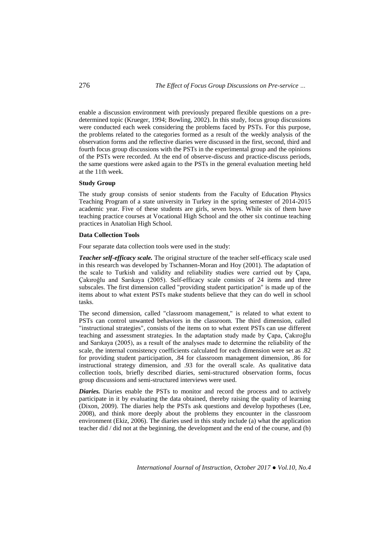enable a discussion environment with previously prepared flexible questions on a predetermined topic (Krueger, 1994; Bowling, 2002). In this study, focus group discussions were conducted each week considering the problems faced by PSTs. For this purpose, the problems related to the categories formed as a result of the weekly analysis of the observation forms and the reflective diaries were discussed in the first, second, third and fourth focus group discussions with the PSTs in the experimental group and the opinions of the PSTs were recorded. At the end of observe-discuss and practice-discuss periods, the same questions were asked again to the PSTs in the general evaluation meeting held at the 11th week.

# **Study Group**

The study group consists of senior students from the Faculty of Education Physics Teaching Program of a state university in Turkey in the spring semester of 2014-2015 academic year. Five of these students are girls, seven boys. While six of them have teaching practice courses at Vocational High School and the other six continue teaching practices in Anatolian High School.

#### **Data Collection Tools**

Four separate data collection tools were used in the study:

*Teacher self-efficacy scale.* The original structure of the teacher self-efficacy scale used in this research was developed by Tschannen-Moran and Hoy (2001). The adaptation of the scale to Turkish and validity and reliability studies were carried out by Çapa, Çakıroğlu and Sarıkaya (2005). Self-efficacy scale consists of 24 items and three subscales. The first dimension called "providing student participation" is made up of the items about to what extent PSTs make students believe that they can do well in school tasks.

The second dimension, called "classroom management," is related to what extent to PSTs can control unwanted behaviors in the classroom. The third dimension, called "instructional strategies", consists of the items on to what extent PSTs can use different teaching and assessment strategies. In the adaptation study made by Çapa, Çakıroğlu and Sarıkaya (2005), as a result of the analyses made to determine the reliability of the scale, the internal consistency coefficients calculated for each dimension were set as .82 for providing student participation, .84 for classroom management dimension, .86 for instructional strategy dimension, and .93 for the overall scale. As qualitative data collection tools, briefly described diaries, semi-structured observation forms, focus group discussions and semi-structured interviews were used.

*Diaries.* Diaries enable the PSTs to monitor and record the process and to actively participate in it by evaluating the data obtained, thereby raising the quality of learning (Dixon, 2009). The diaries help the PSTs ask questions and develop hypotheses (Lee, 2008), and think more deeply about the problems they encounter in the classroom environment (Ekiz, 2006). The diaries used in this study include (a) what the application teacher did / did not at the beginning, the development and the end of the course, and (b)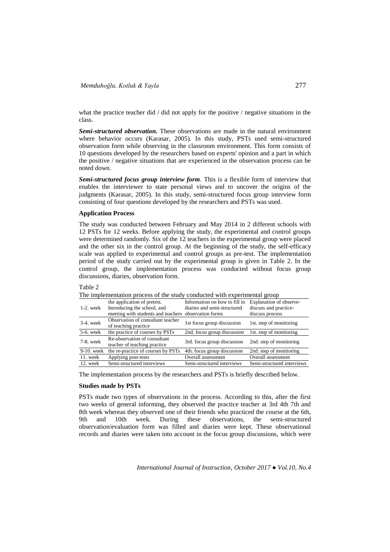what the practice teacher did  $\ell$  did not apply for the positive  $\ell$  negative situations in the class.

*Semi-structured observation.* These observations are made in the natural environment where behavior occurs (Karasar, 2005). In this study, PSTs used semi-structured observation form while observing in the classroom environment. This form consists of 10 questions developed by the researchers based on experts' opinion and a part in which the positive / negative situations that are experienced in the observation process can be noted down.

*Semi-structured focus group interview form.* This is a flexible form of interview that enables the interviewer to state personal views and to uncover the origins of the judgments (Karasar, 2005). In this study, semi-structured focus group interview form consisting of four questions developed by the researchers and PSTs was used.

## **Application Process**

The study was conducted between February and May 2014 in 2 different schools with 12 PSTs for 12 weeks. Before applying the study, the experimental and control groups were determined randomly. Six of the 12 teachers in the experimental group were placed and the other six in the control group. At the beginning of the study, the self-efficacy scale was applied to experimental and control groups as pre-test. The implementation period of the study carried out by the experimental group is given in Table 2. In the control group, the implementation process was conducted without focus group discussions, diaries, observation form.

#### Table 2

|               | The impremement process of the stagy conducted with experimental group |                               |                            |  |  |  |  |  |
|---------------|------------------------------------------------------------------------|-------------------------------|----------------------------|--|--|--|--|--|
|               | the application of pretest.                                            | Information on how to fill in | Explanation of observe-    |  |  |  |  |  |
| $1-2$ . week  | Introducing the school, and                                            | diaries and semi-structured   | discuss and practice-      |  |  |  |  |  |
|               | meeting with students and teachers                                     | observation forms             | discuss process            |  |  |  |  |  |
| $3-4$ . week  | Observation of consultant teacher                                      | 1st focus group discussion    | 1st. step of monitoring    |  |  |  |  |  |
|               | of teaching practice                                                   |                               |                            |  |  |  |  |  |
| 5-6. week     | the practice of courses by PSTs                                        | 2nd. focus group discussion   | 1st. step of monitoring    |  |  |  |  |  |
| 7-8. week     | Re-observation of consultant                                           | 3rd. focus group discussion   | 2nd. step of monitoring    |  |  |  |  |  |
|               | teacher of teaching practice                                           |                               |                            |  |  |  |  |  |
| $9-10$ . week | the re-practice of courses by PSTs                                     | 4th. focus group discussion   | 2nd, step of monitoring    |  |  |  |  |  |
| 11. week      | Applying post-tests                                                    | Overall assessment            | Overall assessment         |  |  |  |  |  |
| $12.$ week    | Semi-structured interviews                                             | Semi-structured interviews    | Semi-structured interviews |  |  |  |  |  |

The implementation process of the study conducted with experimental group

The implementation process by the researchers and PSTs is briefly described below.

# **Studies made by PSTs**

PSTs made two types of observations in the process. According to this, after the first two weeks of general informing, they observed the practice teacher at 3rd 4th 7th and 8th week whereas they observed one of their friends who practiced the course at the 6th, 9th and 10th week. During these observations, the semi-structured observation/evaluation form was filled and diaries were kept. These observational records and diaries were taken into account in the focus group discussions, which were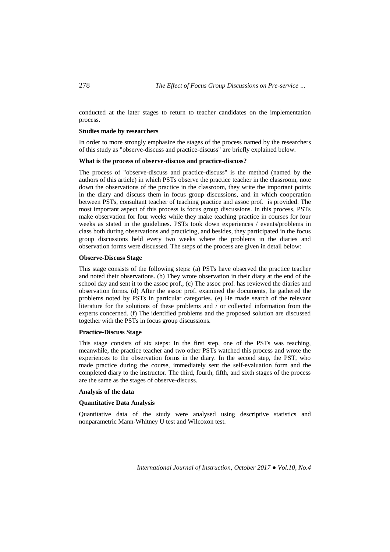conducted at the later stages to return to teacher candidates on the implementation process.

## **Studies made by researchers**

In order to more strongly emphasize the stages of the process named by the researchers of this study as "observe-discuss and practice-discuss" are briefly explained below.

# **What is the process of observe-discuss and practice-discuss?**

The process of "observe-discuss and practice-discuss" is the method (named by the authors of this article) in which PSTs observe the practice teacher in the classroom, note down the observations of the practice in the classroom, they write the important points in the diary and discuss them in focus group discussions, and in which cooperation between PSTs, consultant teacher of teaching practice and assoc prof. is provided. The most important aspect of this process is focus group discussions. In this process, PSTs make observation for four weeks while they make teaching practice in courses for four weeks as stated in the guidelines. PSTs took down experiences / events/problems in class both during observations and practicing, and besides, they participated in the focus group discussions held every two weeks where the problems in the diaries and observation forms were discussed. The steps of the process are given in detail below:

## **Observe-Discuss Stage**

This stage consists of the following steps: (a) PSTs have observed the practice teacher and noted their observations. (b) They wrote observation in their diary at the end of the school day and sent it to the assoc prof., (c) The assoc prof. has reviewed the diaries and observation forms. (d) After the assoc prof. examined the documents, he gathered the problems noted by PSTs in particular categories. (e) He made search of the relevant literature for the solutions of these problems and / or collected information from the experts concerned. (f) The identified problems and the proposed solution are discussed together with the PSTs in focus group discussions.

## **Practice-Discuss Stage**

This stage consists of six steps: In the first step, one of the PSTs was teaching, meanwhile, the practice teacher and two other PSTs watched this process and wrote the experiences to the observation forms in the diary. In the second step, the PST, who made practice during the course, immediately sent the self-evaluation form and the completed diary to the instructor. The third, fourth, fifth, and sixth stages of the process are the same as the stages of observe-discuss.

# **Analysis of the data**

# **Quantitative Data Analysis**

Quantitative data of the study were analysed using descriptive statistics and nonparametric Mann-Whitney U test and Wilcoxon test.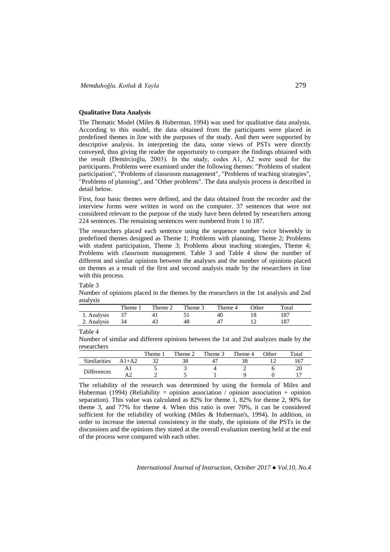# **Qualitative Data Analysis**

The Thematic Model (Miles & Huberman, 1994) was used for qualitative data analysis. According to this model, the data obtained from the participants were placed in predefined themes in line with the purposes of the study. And then were supported by descriptive analysis. In interpreting the data, some views of PSTs were directly conveyed, thus giving the reader the opportunity to compare the findings obtained with the result (Demircioğlu, 2003). In the study, codes A1, A2 were used for the participants. Problems were examined under the following themes: "Problems of student participation", "Problems of classroom management", "Problems of teaching strategies", "Problems of planning", and "Other problems". The data analysis process is described in detail below.

First, four basic themes were defined, and the data obtained from the recorder and the interview forms were written in word on the computer. 37 sentences that were not considered relevant to the purpose of the study have been deleted by researchers among 224 sentences. The remaining sentences were numbered from 1 to 187.

The researchers placed each sentence using the sequence number twice biweekly in predefined themes designed as Theme 1; Problems with planning, Theme 2; Problems with student participation, Theme 3; Problems about teaching strategies, Theme 4; Problems with classroom management. Table 3 and Table 4 show the number of different and similar opinions between the analyses and the number of opinions placed on themes as a result of the first and second analysis made by the researchers in line with this process.

Table 3

Number of opinions placed in the themes by the researchers in the 1st analysis and 2nd analysis

|             | Theme | Theme 2 | Theme 3 | Theme 4 | <b>Other</b> | Total |
|-------------|-------|---------|---------|---------|--------------|-------|
| 1. Analysis |       |         |         | 40      |              |       |
| 2. Analysis |       | 43      | 48      |         |              |       |
|             |       |         |         |         |              |       |

Table 4

Number of similar and different opinions between the 1st and 2nd analyzes made by the researchers

|                    |         | Theme, | Theme 2 | Theme 3 | Theme 4 | $\gamma$ ther | Total |
|--------------------|---------|--------|---------|---------|---------|---------------|-------|
| Similarities       | $A1+A2$ | $\sim$ |         |         |         |               |       |
| <b>Differences</b> |         |        |         |         |         |               |       |
|                    |         |        |         |         |         |               |       |

The reliability of the research was determined by using the formula of Miles and Huberman (1994) (Reliability = opinion association / opinion association + opinion separation). This value was calculated as 82% for theme 1, 82% for theme 2, 90% for theme 3, and 77% for theme 4. When this ratio is over 70%, it can be considered sufficient for the reliability of working (Miles & Huberman's, 1994). In addition, in order to increase the internal consistency in the study, the opinions of the PSTs in the discussions and the opinions they stated at the overall evaluation meeting held at the end of the process were compared with each other.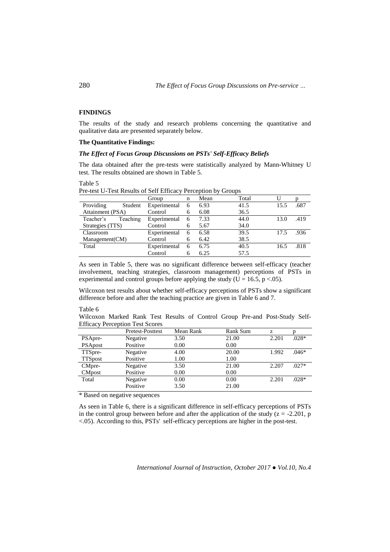# **FINDINGS**

The results of the study and research problems concerning the quantitative and qualitative data are presented separately below.

# **The Quantitative Findings:**

## *The Effect of Focus Group Discussions on PSTs' Self-Efficacy Beliefs*

The data obtained after the pre-tests were statistically analyzed by Mann-Whitney U test. The results obtained are shown in Table 5.

Table 5

|                  |          | Group        | n | Mean | Total |      |      |
|------------------|----------|--------------|---|------|-------|------|------|
| Providing        | Student  | Experimental | 6 | 6.93 | 41.5  | 15.5 | .687 |
| Attainment (PSA) |          | Control      | 6 | 6.08 | 36.5  |      |      |
| Teacher's        | Teaching | Experimental | 6 | 7.33 | 44.0  | 13.0 | .419 |
| Strategies (TTS) |          | Control      | 6 | 5.67 | 34.0  |      |      |
| Classroom        |          | Experimental | 6 | 6.58 | 39.5  | 17.5 | .936 |
| Management(CM)   |          | Control      | 6 | 6.42 | 38.5  |      |      |
| Total            |          | Experimental | 6 | 6.75 | 40.5  | 16.5 | .818 |
|                  |          | Control      | 6 | 6.25 | 57.5  |      |      |

Pre-test U-Test Results of Self Efficacy Perception by Groups

As seen in Table 5, there was no significant difference between self-efficacy (teacher involvement, teaching strategies, classroom management) perceptions of PSTs in experimental and control groups before applying the study (U = 16.5, p < 0.05).

Wilcoxon test results about whether self-efficacy perceptions of PSTs show a significant difference before and after the teaching practice are given in Table 6 and 7.

#### Table 6

Wilcoxon Marked Rank Test Results of Control Group Pre-and Post-Study Self-Efficacy Perception Test Scores

|                | <b>Pretest-Posttest</b> | Mean Rank | <b>Rank Sum</b> | z     |         |
|----------------|-------------------------|-----------|-----------------|-------|---------|
| PSApre-        | Negative                | 3.50      | 21.00           | 2.201 | $.028*$ |
| <b>PSApost</b> | Positive                | 0.00      | 0.00            |       |         |
| TTSpre-        | Negative                | 4.00      | 20.00           | 1.992 | $.046*$ |
| <b>TTSpost</b> | Positive                | 1.00      | 1.00            |       |         |
| CMpre-         | Negative                | 3.50      | 21.00           | 2.207 | $.027*$ |
| <b>CMpost</b>  | Positive                | 0.00      | 0.00            |       |         |
| Total          | Negative                | 0.00      | 0.00            | 2.201 | $.028*$ |
|                | Positive                | 3.50      | 21.00           |       |         |

\* Based on negative sequences

As seen in Table 6, there is a significant difference in self-efficacy perceptions of PSTs in the control group between before and after the application of the study  $(z = -2.201, p$ <.05). According to this, PSTs' self-efficacy perceptions are higher in the post-test.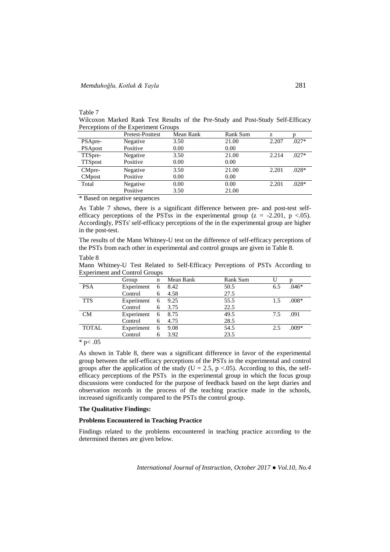## Table 7

Wilcoxon Marked Rank Test Results of the Pre-Study and Post-Study Self-Efficacy Perceptions of the Experiment Groups

|                | Pretest-Posttest | Mean Rank | <b>Rank Sum</b> | Z.    |         |
|----------------|------------------|-----------|-----------------|-------|---------|
| PSApre-        | Negative         | 3.50      | 21.00           | 2.207 | $.027*$ |
| <b>PSApost</b> | Positive         | 0.00      | 0.00            |       |         |
| TTSpre-        | Negative         | 3.50      | 21.00           | 2.214 | $.027*$ |
| <b>TTSpost</b> | Positive         | 0.00      | 0.00            |       |         |
| CMpre-         | Negative         | 3.50      | 21.00           | 2.201 | $.028*$ |
| <b>CMpost</b>  | Positive         | 0.00      | 0.00            |       |         |
| Total          | Negative         | 0.00      | 0.00            | 2.201 | $.028*$ |
|                | Positive         | 3.50      | 21.00           |       |         |

\* Based on negative sequences

As Table 7 shows, there is a significant difference between pre- and post-test selfefficacy perceptions of the PSTss in the experimental group  $(z = -2.201, p < 0.05)$ . Accordingly, PSTs' self-efficacy perceptions of the in the experimental group are higher in the post-test.

The results of the Mann Whitney-U test on the difference of self-efficacy perceptions of the PSTs from each other in experimental and control groups are given in Table 8.

#### Table 8

Mann Whitney-U Test Related to Self-Efficacy Perceptions of PSTs According to Experiment and Control Groups

|              | Group             | $\mathbf n$ | Mean Rank | Rank Sum |     |         |
|--------------|-------------------|-------------|-----------|----------|-----|---------|
| <b>PSA</b>   | Experiment        | 6           | 8.42      | 50.5     | 6.5 | $.046*$ |
|              | Control           | 6           | 4.58      | 27.5     |     |         |
| <b>TTS</b>   | Experiment 6 9.25 |             |           | 55.5     | 1.5 | $.008*$ |
|              | Control           | 6           | 3.75      | 22.5     |     |         |
| CM           | Experiment 6 8.75 |             |           | 49.5     | 7.5 | .091    |
|              | Control           |             | 4.75      | 28.5     |     |         |
| <b>TOTAL</b> | Experiment        | 6           | 9.08      | 54.5     | 2.5 | $.009*$ |
|              | Control           |             | 3.92      | 23.5     |     |         |

 $*$  p $< .05$ 

As shown in Table 8, there was a significant difference in favor of the experimental group between the self-efficacy perceptions of the PSTs in the experimental and control groups after the application of the study ( $U = 2.5$ , p <.05). According to this, the selfefficacy perceptions of the PSTs in the experimental group in which the focus group discussions were conducted for the purpose of feedback based on the kept diaries and observation records in the process of the teaching practice made in the schools, increased significantly compared to the PSTs the control group.

## **The Qualitative Findings:**

# **Problems Encountered in Teaching Practice**

Findings related to the problems encountered in teaching practice according to the determined themes are given below.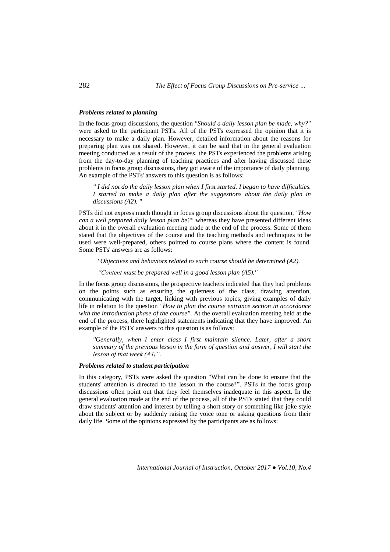## *Problems related to planning*

In the focus group discussions, the question *"Should a daily lesson plan be made, why?"* were asked to the participant PSTs. All of the PSTs expressed the opinion that it is necessary to make a daily plan. However, detailed information about the reasons for preparing plan was not shared. However, it can be said that in the general evaluation meeting conducted as a result of the process, the PSTs experienced the problems arising from the day-to-day planning of teaching practices and after having discussed these problems in focus group discussions, they got aware of the importance of daily planning. An example of the PSTs' answers to this question is as follows:

*'' I did not do the daily lesson plan when I first started. I began to have difficulties. I* started to make a daily plan after the suggestions about the daily plan in *discussions (A2). "*

PSTs did not express much thought in focus group discussions about the question, *"How can a well prepared daily lesson plan be?"* whereas they have presented different ideas about it in the overall evaluation meeting made at the end of the process. Some of them stated that the objectives of the course and the teaching methods and techniques to be used were well-prepared, others pointed to course plans where the content is found. Some PSTs' answers are as follows:

*''Objectives and behaviors related to each course should be determined (A2).*

*''Content must be prepared well in a good lesson plan (A5).''*

In the focus group discussions, the prospective teachers indicated that they had problems on the points such as ensuring the quietness of the class, drawing attention, communicating with the target, linking with previous topics, giving examples of daily life in relation to the question *"How to plan the course entrance section in accordance with the introduction phase of the course"*. At the overall evaluation meeting held at the end of the process, there highlighted statements indicating that they have improved. An example of the PSTs' answers to this question is as follows:

*''Generally, when I enter class I first maintain silence. Later, after a short summary of the previous lesson in the form of question and answer, I will start the lesson of that week (A4)''.*

# *Problems related to student participation*

In this category, PSTs were asked the question "What can be done to ensure that the students' attention is directed to the lesson in the course?". PSTs in the focus group discussions often point out that they feel themselves inadequate in this aspect. In the general evaluation made at the end of the process, all of the PSTs stated that they could draw students' attention and interest by telling a short story or something like joke style about the subject or by suddenly raising the voice tone or asking questions from their daily life. Some of the opinions expressed by the participants are as follows: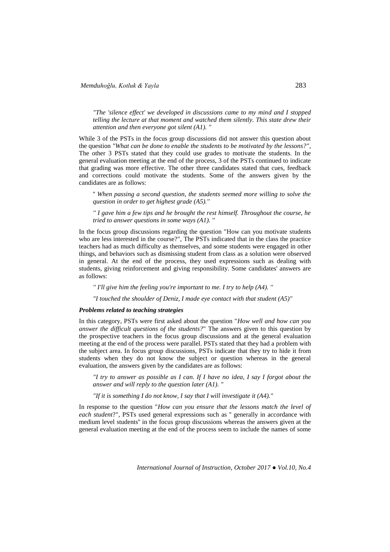*"The 'silence effect' we developed in discussions came to my mind and I stopped telling the lecture at that moment and watched them silently. This state drew their attention and then everyone got silent (A1). ''*

While 3 of the PSTs in the focus group discussions did not answer this question about the question *"What can be done to enable the students to be motivated by the lessons?"*, The other 3 PSTs stated that they could use grades to motivate the students. In the general evaluation meeting at the end of the process, 3 of the PSTs continued to indicate that grading was more effective. The other three candidates stated that cues, feedback and corrections could motivate the students. Some of the answers given by the candidates are as follows:

'' *When passing a second question, the students seemed more willing to solve the question in order to get highest grade (A5).''*

*'' I gave him a few tips and he brought the rest himself. Throughout the course, he tried to answer questions in some ways (A1). "*

In the focus group discussions regarding the question "How can you motivate students who are less interested in the course?", The PSTs indicated that in the class the practice teachers had as much difficulty as themselves, and some students were engaged in other things, and behaviors such as dismissing student from class as a solution were observed in general. At the end of the process, they used expressions such as dealing with students, giving reinforcement and giving responsibility. Some candidates' answers are as follows:

*'' I'll give him the feeling you're important to me. I try to help (A4). ''*

*"I touched the shoulder of Deniz, I made eye contact with that student (A5)"*

#### *Problems related to teaching strategies*

In this category, PSTs were first asked about the question "*How well and how can you answer the difficult questions of the students?*" The answers given to this question by the prospective teachers in the focus group discussions and at the general evaluation meeting at the end of the process were parallel. PSTs stated that they had a problem with the subject area. In focus group discussions, PSTs indicate that they try to hide it from students when they do not know the subject or question whereas in the general evaluation, the answers given by the candidates are as follows:

*"I try to answer as possible as I can. If I have no idea, I say I forgot about the answer and will reply to the question later (A1). "*

*"If it is something I do not know, I say that I will investigate it (A4)."*

In response to the question "*How can you ensure that the lessons match the level of each student*?", PSTs used general expressions such as '' generally in accordance with medium level students'' in the focus group discussions whereas the answers given at the general evaluation meeting at the end of the process seem to include the names of some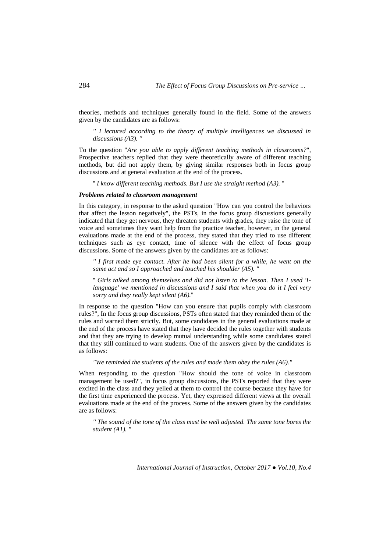theories, methods and techniques generally found in the field. Some of the answers given by the candidates are as follows:

*'' I lectured according to the theory of multiple intelligences we discussed in discussions (A3). ''*

To the question "*Are you able to apply different teaching methods in classrooms?*", Prospective teachers replied that they were theoretically aware of different teaching methods, but did not apply them, by giving similar responses both in focus group discussions and at general evaluation at the end of the process.

'' *I know different teaching methods. But I use the straight method (A3).* ''

## *Problems related to classroom management*

In this category, in response to the asked question "How can you control the behaviors that affect the lesson negatively", the PSTs, in the focus group discussions generally indicated that they get nervous, they threaten students with grades, they raise the tone of voice and sometimes they want help from the practice teacher, however, in the general evaluations made at the end of the process, they stated that they tried to use different techniques such as eye contact, time of silence with the effect of focus group discussions. Some of the answers given by the candidates are as follows:

*'' I first made eye contact. After he had been silent for a while, he went on the same act and so I approached and touched his shoulder (A5). "*

'' *Girls talked among themselves and did not listen to the lesson. Then I used 'Ilanguage' we mentioned in discussions and I said that when you do it I feel very sorry and they really kept silent (A6).*''

In response to the question "How can you ensure that pupils comply with classroom rules?", In the focus group discussions, PSTs often stated that they reminded them of the rules and warned them strictly. But, some candidates in the general evaluations made at the end of the process have stated that they have decided the rules together with students and that they are trying to develop mutual understanding while some candidates stated that they still continued to warn students. One of the answers given by the candidates is as follows:

*"We reminded the students of the rules and made them obey the rules (A6)."*

When responding to the question "How should the tone of voice in classroom management be used?", in focus group discussions, the PSTs reported that they were excited in the class and they yelled at them to control the course because they have for the first time experienced the process. Yet, they expressed different views at the overall evaluations made at the end of the process. Some of the answers given by the candidates are as follows:

*'' The sound of the tone of the class must be well adjusted. The same tone bores the student (A1). "*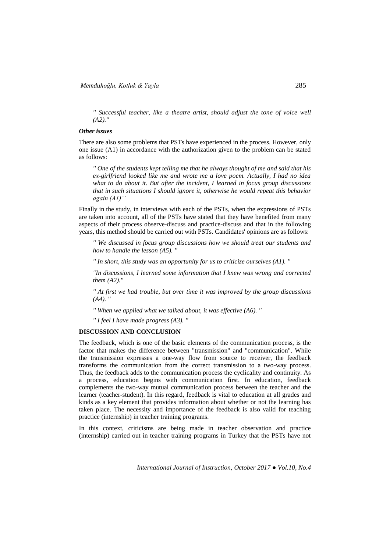*'' Successful teacher, like a theatre artist, should adjust the tone of voice well (A2).''*

#### *Other issues*

There are also some problems that PSTs have experienced in the process. However, only one issue (A1) in accordance with the authorization given to the problem can be stated as follows:

*'' One of the students kept telling me that he always thought of me and said that his ex-girlfriend looked like me and wrote me a love poem. Actually, I had no idea what to do about it. But after the incident, I learned in focus group discussions that in such situations I should ignore it, otherwise he would repeat this behavior again (A1)''*

Finally in the study, in interviews with each of the PSTs, when the expressions of PSTs are taken into account, all of the PSTs have stated that they have benefited from many aspects of their process observe-discuss and practice-discuss and that in the following years, this method should be carried out with PSTs. Candidates' opinions are as follows:

*'' We discussed in focus group discussions how we should treat our students and how to handle the lesson (A5). ''*

*'' In short, this study was an opportunity for us to criticize ourselves (A1). ''*

*"In discussions, I learned some information that I knew was wrong and corrected them (A2)."*

*'' At first we had trouble, but over time it was improved by the group discussions (A4). ''*

*'' When we applied what we talked about, it was effective (A6). ''*

*'' I feel I have made progress (A3). "*

# **DISCUSSION AND CONCLUSION**

The feedback, which is one of the basic elements of the communication process, is the factor that makes the difference between "transmission" and "communication". While the transmission expresses a one-way flow from source to receiver, the feedback transforms the communication from the correct transmission to a two-way process. Thus, the feedback adds to the communication process the cyclicality and continuity. As a process, education begins with communication first. In education, feedback complements the two-way mutual communication process between the teacher and the learner (teacher-student). In this regard, feedback is vital to education at all grades and kinds as a key element that provides information about whether or not the learning has taken place. The necessity and importance of the feedback is also valid for teaching practice (internship) in teacher training programs.

In this context, criticisms are being made in teacher observation and practice (internship) carried out in teacher training programs in Turkey that the PSTs have not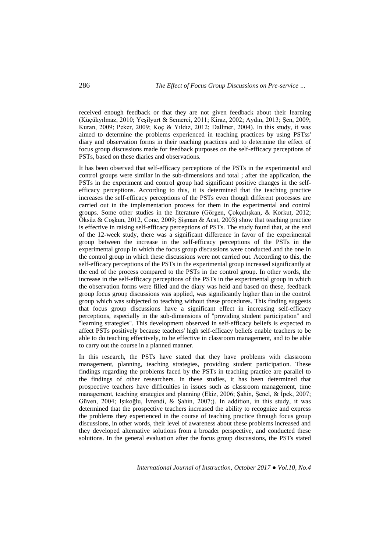received enough feedback or that they are not given feedback about their learning (Küçükyılmaz, 2010; Yeşilyurt & Semerci, 2011; Kiraz, 2002; Aydın, 2013; Şen, 2009; Kuran, 2009; Peker, 2009; Koç & Yıldız, 2012; Dallmer, 2004). In this study, it was aimed to determine the problems experienced in teaching practices by using PSTss' diary and observation forms in their teaching practices and to determine the effect of focus group discussions made for feedback purposes on the self-efficacy perceptions of PSTs, based on these diaries and observations.

It has been observed that self-efficacy perceptions of the PSTs in the experimental and control groups were similar in the sub-dimensions and total ; after the application, the PSTs in the experiment and control group had significant positive changes in the selfefficacy perceptions. According to this, it is determined that the teaching practice increases the self-efficacy perceptions of the PSTs even though different processes are carried out in the implementation process for them in the experimental and control groups. Some other studies in the literature (Görgen, Çokçalışkan, & Korkut, 2012; Öksüz & Coşkun, 2012, Cone, 2009; Şişman & Acat, 2003) show that teaching practice is effective in raising self-efficacy perceptions of PSTs. The study found that, at the end of the 12-week study, there was a significant difference in favor of the experimental group between the increase in the self-efficacy perceptions of the PSTs in the experimental group in which the focus group discussions were conducted and the one in the control group in which these discussions were not carried out. According to this, the self-efficacy perceptions of the PSTs in the experimental group increased significantly at the end of the process compared to the PSTs in the control group. In other words, the increase in the self-efficacy perceptions of the PSTs in the experimental group in which the observation forms were filled and the diary was held and based on these, feedback group focus group discussions was applied, was significantly higher than in the control group which was subjected to teaching without these procedures. This finding suggests that focus group discussions have a significant effect in increasing self-efficacy perceptions, especially in the sub-dimensions of ''providing student participation'' and ''learning strategies''. This development observed in self-efficacy beliefs is expected to affect PSTs positively because teachers' high self-efficacy beliefs enable teachers to be able to do teaching effectively, to be effective in classroom management, and to be able to carry out the course in a planned manner.

In this research, the PSTs have stated that they have problems with classroom management, planning, teaching strategies, providing student participation. These findings regarding the problems faced by the PSTs in teaching practice are parallel to the findings of other researchers. In these studies, it has been determined that prospective teachers have difficulties in issues such as classroom management, time management, teaching strategies and planning (Ekiz, 2006; Şahin, Şenel, & İpek, 2007; Güven, 2004; Işıkoğlu, İvrendi, & Şahin, 2007;). In addition, in this study, it was determined that the prospective teachers increased the ability to recognize and express the problems they experienced in the course of teaching practice through focus group discussions, in other words, their level of awareness about these problems increased and they developed alternative solutions from a broader perspective, and conducted these solutions. In the general evaluation after the focus group discussions, the PSTs stated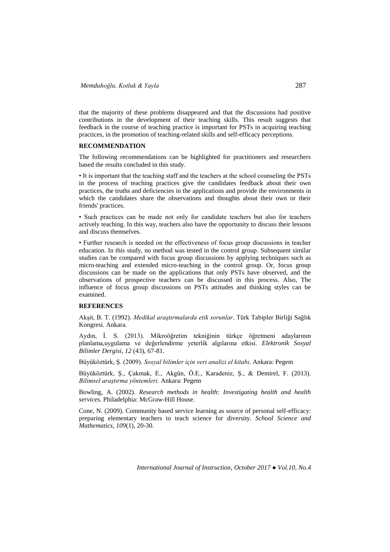that the majority of these problems disappeared and that the discussions had positive contributions in the development of their teaching skills. This result suggests that feedback in the course of teaching practice is important for PSTs in acquiring teaching practices, in the promotion of teaching-related skills and self-efficacy perceptions.

## **RECOMMENDATION**

The following recommendations can be highlighted for practitioners and researchers based the results concluded in this study.

• It is important that the teaching staff and the teachers at the school counseling the PSTs in the process of teaching practices give the candidates feedback about their own practices, the truths and deficiencies in the applications and provide the environments in which the candidates share the observations and thoughts about their own or their friends' practices.

• Such practices can be made not only for candidate teachers but also for teachers actively teaching. In this way, teachers also have the opportunity to discuss their lessons and discuss themselves.

• Further research is needed on the effectiveness of focus group discussions in teacher education. In this study, no method was tested in the control group. Subsequent similar studies can be compared with focus group discussions by applying techniques such as micro-teaching and extended micro-teaching in the control group. Or, focus group discussions can be made on the applications that only PSTs have observed, and the observations of prospective teachers can be discussed in this process. Also, The influence of focus group discussions on PSTs attitudes and thinking styles can be examined.

# **REFERENCES**

Akşit, B. T. (1992). *Medikal araştırmalarda etik sorunlar*. Türk Tabipler Birliği Sağlık Kongresi. Ankara.

Aydın, İ. S. (2013). Mikroöğretim tekniğinin türkçe öğretmeni adaylarının planlama,uygulama ve değerlendirme yeterlik algılarına etkisi. *Elektronik Sosyal Bilimler Dergisi, 12* (43), 67-81.

Büyüköztürk, Ş. (2009). *Sosyal bilimler için veri analizi el kitabı*. Ankara: Pegem

Büyüköztürk, Ş., Çakmak, E., Akgün, Ö.E., Karadeniz, Ş., & Demirel, F. (2013). *Bilimsel araştırma yöntemleri.* Ankara: Pegem

Bowling, A. (2002). *Research methods in health: Investigating health and health services.* Philadelphia: McGraw-Hill House.

Cone, N. (2009). Community based service learning as source of personal self-efficacy: preparing elementary teachers to teach science for diversity. *School Science and Mathematics, 109*(1), 20-30.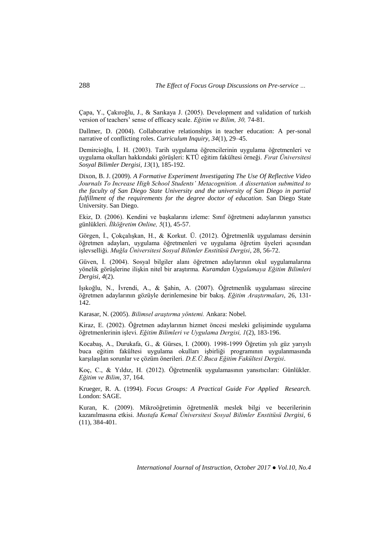Çapa, Y., Çakıroğlu, J., & Sarıkaya J. (2005). Development and validation of turkish version of teachers' sense of efficacy scale. *Eğitim ve Bilim, 30,* 74-81.

Dallmer, D. (2004). Collaborative relationships in teacher education: A per-sonal narrative of conflicting roles. *Curriculum Inquiry, 34*(1), 29–45.

Demircioğlu, İ. H. (2003). Tarih uygulama öğrencilerinin uygulama öğretmenleri ve uygulama okulları hakkındaki görüşleri: KTÜ eğitim fakültesi örneği. *Fırat Üniversitesi Sosyal Bilimler Dergisi, 13*(1), 185-192.

Dixon, B. J. (2009). *A Formative Experiment Investigating The Use Of Reflective Video Journals To Increase High School Students' Metacognition. A dissertation submitted to the faculty of San Diego State University and the university of San Diego in partial fulfillment of the requirements for the degree doctor of education.* San Diego State University. San Diego.

Ekiz, D. (2006). Kendini ve başkalarını izleme: Sınıf öğretmeni adaylarının yansıtıcı günlükleri. *İlköğretim Online, 5*(1), 45-57.

Görgen, İ., Çokçalışkan, H., & Korkut. Ü. (2012). Öğretmenlik uygulaması dersinin öğretmen adayları, uygulama öğretmenleri ve uygulama öğretim üyeleri açısından işlevselliği. *Muğla Üniversitesi Sosyal Bilimler Enstitüsü Dergisi*, 28, 56-72.

Güven, İ. (2004). Sosyal bilgiler alanı öğretmen adaylarının okul uygulamalarına yönelik görüşlerine ilişkin nitel bir araştırma. *Kuramdan Uygulamaya Eğitim Bilimleri Dergisi, 4*(2).

Işıkoğlu, N., İvrendi, A., & Şahin, A. (2007). Öğretmenlik uygulaması sürecine öğretmen adaylarının gözüyle derinlemesine bir bakış. *Eğitim Araştırmaları*, 26, 131- 142.

Karasar, N. (2005). *Bilimsel araştırma yöntemi.* Ankara: Nobel.

Kiraz, E. (2002). Öğretmen adaylarının hizmet öncesi mesleki gelişiminde uygulama öğretmenlerinin işlevi. *Eğitim Bilimleri ve Uygulama Dergisi, 1*(2), 183-196.

Kocabaş, A., Durukafa, G., & Gürses, I. (2000). 1998-1999 Öğretim yılı güz yarıyılı buca eğitim fakültesi uygulama okulları işbirliği programının uygulanmasında karşılaşılan sorunlar ve çözüm önerileri. *D.E.Ü.Buca Eğitim Fakültesi Dergisi*.

Koç, C., & Yıldız, H. (2012). Öğretmenlik uygulamasının yansıtıcıları: Günlükler. *Eğitim ve Bilim*, 37, 164.

Krueger, R. A. (1994). *Focus Groups: A Practical Guide For Applied Research.* London: SAGE.

Kuran, K. (2009). Mikroöğretimin öğretmenlik meslek bilgi ve becerilerinin kazanılmasına etkisi. *Mustafa Kemal Üniversitesi Sosyal Bilimler Enstitüsü Dergisi*, 6 (11), 384-401.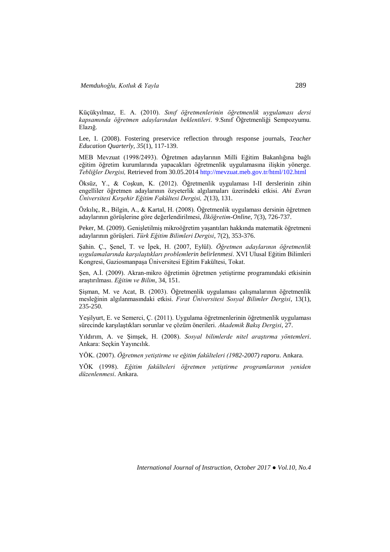Küçükyılmaz, E. A. (2010). *Sınıf öğretmenlerinin öğretmenlik uygulaması dersi kapsamında öğretmen adaylarından beklentileri*. 9.Sınıf Öğretmenliği Sempozyumu. Elazığ.

Lee, I. (2008). Fostering preservice reflection through response journals, *Teacher Education Quarterly, 35*(1), 117-139.

MEB Mevzuat (1998/2493). Öğretmen adaylarının Milli Eğitim Bakanlığına bağlı eğitim öğretim kurumlarında yapacakları öğretmenlik uygulamasına ilişkin yönerge. *Tebliğler Dergisi,* Retrieved from 30.05.2014<http://mevzuat.meb.gov.tr/html/102.html>

Öksüz, Y., & Coşkun, K. (2012). Öğretmenlik uygulaması I-II derslerinin zihin engelliler öğretmen adaylarının özyeterlik algılamaları üzerindeki etkisi. *Ahi Evran Üniversitesi Kırşehir Eğitim Fakültesi Dergisi, 2*(13), 131.

Özkılıç, R., Bilgin, A., & Kartal, H. (2008). Öğretmenlik uygulaması dersinin öğretmen adaylarının görüşlerine göre değerlendirilmesi, *İlköğretim-Online*, 7(3), 726-737.

Peker, M. (2009). Genişletilmiş mikroöğretim yaşantıları hakkında matematik öğretmeni adaylarının görüşleri. *Türk Eğitim Bilimleri Dergisi*, 7(2), 353-376.

Şahin. Ç., Şenel, T. ve İpek, H. (2007, Eylül). *Öğretmen adaylarının öğretmenlik uygulamalarında karşılaştıkları problemlerin belirlenmesi*. XVI Ulusal Eğitim Bilimleri Kongresi, Gaziosmanpaşa Üniversitesi Eğitim Fakültesi, Tokat.

Şen, A.İ. (2009). Akran-mikro öğretimin öğretmen yetiştirme programındaki etkisinin araştırılması. *Eğitim ve Bilim*, 34, 151.

Şişman, M. ve Acat, B. (2003). Öğretmenlik uygulaması çalışmalarının öğretmenlik mesleğinin algılanmasındaki etkisi. *Fırat Üniversitesi Sosyal Bilimler Dergisi*, 13(1), 235-250.

Yeşilyurt, E. ve Semerci, Ç. (2011). Uygulama öğretmenlerinin öğretmenlik uygulaması sürecinde karşılaştıkları sorunlar ve çözüm önerileri. *Akademik Bakış Dergisi*, 27.

Yıldırım, A. ve Şimşek, H. (2008). *Sosyal bilimlerde nitel araştırma yöntemleri*. Ankara: Seçkin Yayıncılık.

YÖK. (2007). *Öğretmen yetiştirme ve eğitim fakülteleri (1982-2007) raporu*. Ankara.

YÖK (1998). *Eğitim fakülteleri öğretmen yetiştirme programlarının yeniden düzenlenmesi*. Ankara.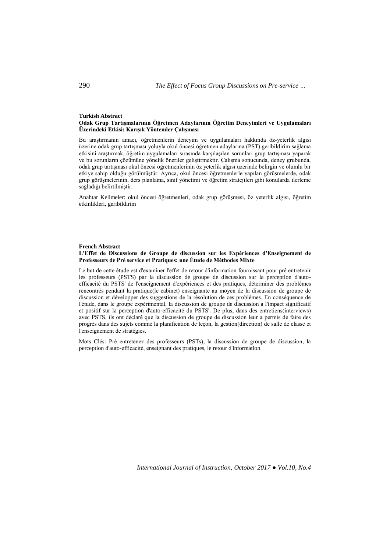#### **Turkish Abstract**

#### **Odak Grup Tartışmalarının Öğretmen Adaylarının Öğretim Deneyimleri ve Uygulamaları Üzerindeki Etkisi: Karışık Yöntemler Çalışması**

Bu araştırmanın amacı, öğretmenlerin deneyim ve uygulamaları hakkında öz-yeterlik algısı üzerine odak grup tartışması yoluyla okul öncesi öğretmen adaylarına (PST) geribildirim sağlama etkisini araştırmak, öğretim uygulamaları sırasında karşılaşılan sorunları grup tartışması yaparak ve bu sorunların çözümüne yönelik öneriler geliştirmektir. Çalışma sonucunda, deney grubunda, odak grup tartışması okul öncesi öğretmenlerinin öz yeterlik algısı üzerinde belirgin ve olumlu bir etkiye sahip olduğu görülmüştür. Ayrıca, okul öncesi öğretmenlerle yapılan görüşmelerde, odak grup görüşmelerinin, ders planlama, sınıf yönetimi ve öğretim stratejileri gibi konularda ilerleme sağladığı belirtilmiştir.

Anahtar Kelimeler: okul öncesi öğretmenleri, odak grup görüşmesi, öz yeterlik algısı, öğretim etkinlikleri, geribildirim

### **French Abstract L'Effet de Discussions de Groupe de discussion sur les Expériences d'Enseignement de Professeurs de Pré service et Pratiques: une Étude de Méthodes Mixte**

Le but de cette étude est d'examiner l'effet de retour d'information fournissant pour pré entretenir les professeurs (PSTS) par la discussion de groupe de discussion sur la perception d'autoefficacité du PSTS' de l'enseignement d'expériences et des pratiques, déterminer des problèmes rencontrés pendant la pratique(le cabinet) enseignante au moyen de la discussion de groupe de discussion et développer des suggestions de la résolution de ces problèmes. En conséquence de l'étude, dans le groupe expérimental, la discussion de groupe de discussion a l'impact significatif et positif sur la perception d'auto-efficacité du PSTS'. De plus, dans des entretiens(interviews) avec PSTS, ils ont déclaré que la discussion de groupe de discussion leur a permis de faire des progrès dans des sujets comme la planification de leçon, la gestion(direction) de salle de classe et l'enseignement de stratégies.

Mots Clés: Pré entretenez des professeurs (PSTs), la discussion de groupe de discussion, la perception d'auto-efficacité, enseignant des pratiques, le retour d'information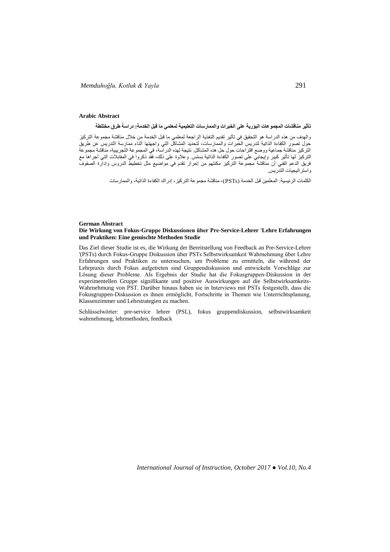#### **Arabic Abstract**

**تأثير مناقشات المجموعات البؤرية على الخبرات والممارسات التعليمية لمعلمي ما قبل الخدمة: دراسة طرق مختلطة**

والهدف من هذه الدراسة هو التحقيق في تأثير تقديم التغذية الراجعة لمعلمي ما قبل الخدمة من خالل مناقشة مجموعة التركيز حول تصور الكفاءة الذاتية لتدريس الخبرات والممارسات، لتحديد المشاكل التي واجهتها أثناء ممارسة التدريس عن طريق التركيز مناقشة جماعية ووضع اقتراحات حول حل هذه المشاكل. نتيجة لهذه الدراسة، في المجموعة التجريبية، مناقشة مجموعة التركيز لها تأثير كبير وإيجابي على تصور الكفاءة الذاتية بستس. وعالوة على ذلك، فقد ذكروا في المقابالت التي أجراها مع فريق الدعم الفني أن مناقشة مجموعة التركيز مكنتهم من إحراز تقدم في مواضيع مثل تخطيط الدروس وإدارة الصفوف واستراتيجيات التدريس.

الكلمات الرئيسية: المعلمين قبل الخدمة )PSTs)، مناقشة مجموعة التركيز، إدراك الكفاءة الذاتية، والممارسات

#### **German Abstract Die Wirkung von Fokus-Gruppe Diskussionen über Pre-Service-Lehrer 'Lehre Erfahrungen und Praktiken: Eine gemischte Methoden Studie**

Das Ziel dieser Studie ist es, die Wirkung der Bereitstellung von Feedback an Pre-Service-Lehrer '(PSTs) durch Fokus-Gruppe Diskussion über PSTs Selbstwirksamkeit Wahrnehmung über Lehre Erfahrungen und Praktiken zu untersuchen, um Probleme zu ermitteln, die während der Lehrpraxis durch Fokus aufgetreten sind Gruppendiskussion und entwickeln Vorschläge zur Lösung dieser Probleme. Als Ergebnis der Studie hat die Fokusgruppen-Diskussion in der experimentellen Gruppe signifikante und positive Auswirkungen auf die Selbstwirksamkeits-Wahrnehmung von PST. Darüber hinaus haben sie in Interviews mit PSTs festgestellt, dass die Fokusgruppen-Diskussion es ihnen ermöglicht, Fortschritte in Themen wie Unterrichtsplanung, Klassenzimmer und Lehrstrategien zu machen.

Schlüsselwörter: pre-service lehrer (PSL), fokus gruppendiskussion, selbstwirksamkeit wahrnehmung, lehrmethoden, feedback